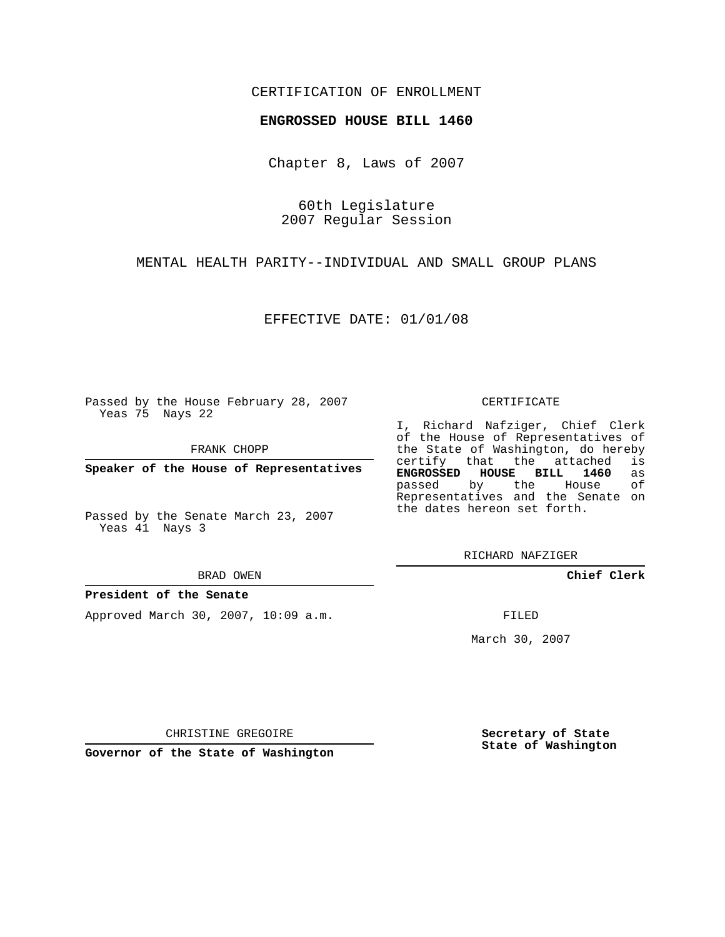### CERTIFICATION OF ENROLLMENT

#### **ENGROSSED HOUSE BILL 1460**

Chapter 8, Laws of 2007

60th Legislature 2007 Regular Session

MENTAL HEALTH PARITY--INDIVIDUAL AND SMALL GROUP PLANS

EFFECTIVE DATE: 01/01/08

Passed by the House February 28, 2007 Yeas 75 Nays 22

FRANK CHOPP

**Speaker of the House of Representatives**

Passed by the Senate March 23, 2007 Yeas 41 Nays 3

BRAD OWEN

#### **President of the Senate**

Approved March 30, 2007, 10:09 a.m.

CERTIFICATE

I, Richard Nafziger, Chief Clerk of the House of Representatives of the State of Washington, do hereby<br>certify that the attached is certify that the attached **ENGROSSED HOUSE BILL 1460** as passed by the Representatives and the Senate on the dates hereon set forth.

RICHARD NAFZIGER

**Chief Clerk**

FILED

March 30, 2007

CHRISTINE GREGOIRE

**Governor of the State of Washington**

**Secretary of State State of Washington**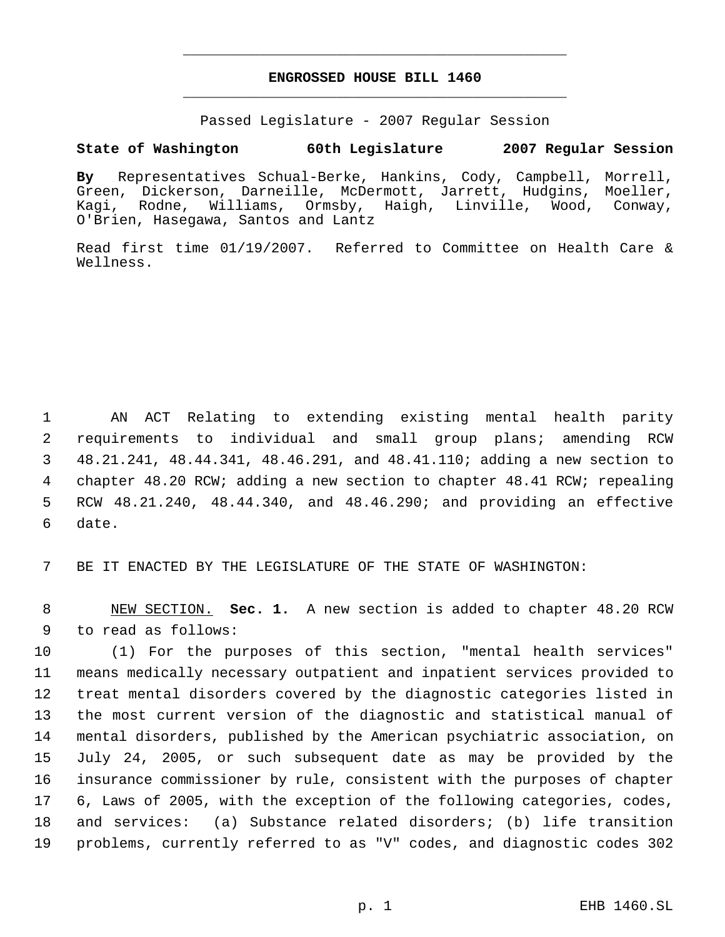## **ENGROSSED HOUSE BILL 1460** \_\_\_\_\_\_\_\_\_\_\_\_\_\_\_\_\_\_\_\_\_\_\_\_\_\_\_\_\_\_\_\_\_\_\_\_\_\_\_\_\_\_\_\_\_

\_\_\_\_\_\_\_\_\_\_\_\_\_\_\_\_\_\_\_\_\_\_\_\_\_\_\_\_\_\_\_\_\_\_\_\_\_\_\_\_\_\_\_\_\_

Passed Legislature - 2007 Regular Session

### **State of Washington 60th Legislature 2007 Regular Session**

**By** Representatives Schual-Berke, Hankins, Cody, Campbell, Morrell, Green, Dickerson, Darneille, McDermott, Jarrett, Hudgins, Moeller, Kagi, Rodne, Williams, Ormsby, Haigh, Linville, Wood, Conway, O'Brien, Hasegawa, Santos and Lantz

Read first time 01/19/2007. Referred to Committee on Health Care & Wellness.

 AN ACT Relating to extending existing mental health parity requirements to individual and small group plans; amending RCW 48.21.241, 48.44.341, 48.46.291, and 48.41.110; adding a new section to chapter 48.20 RCW; adding a new section to chapter 48.41 RCW; repealing RCW 48.21.240, 48.44.340, and 48.46.290; and providing an effective date.

BE IT ENACTED BY THE LEGISLATURE OF THE STATE OF WASHINGTON:

 NEW SECTION. **Sec. 1.** A new section is added to chapter 48.20 RCW to read as follows:

 (1) For the purposes of this section, "mental health services" means medically necessary outpatient and inpatient services provided to treat mental disorders covered by the diagnostic categories listed in the most current version of the diagnostic and statistical manual of mental disorders, published by the American psychiatric association, on July 24, 2005, or such subsequent date as may be provided by the insurance commissioner by rule, consistent with the purposes of chapter 6, Laws of 2005, with the exception of the following categories, codes, and services: (a) Substance related disorders; (b) life transition problems, currently referred to as "V" codes, and diagnostic codes 302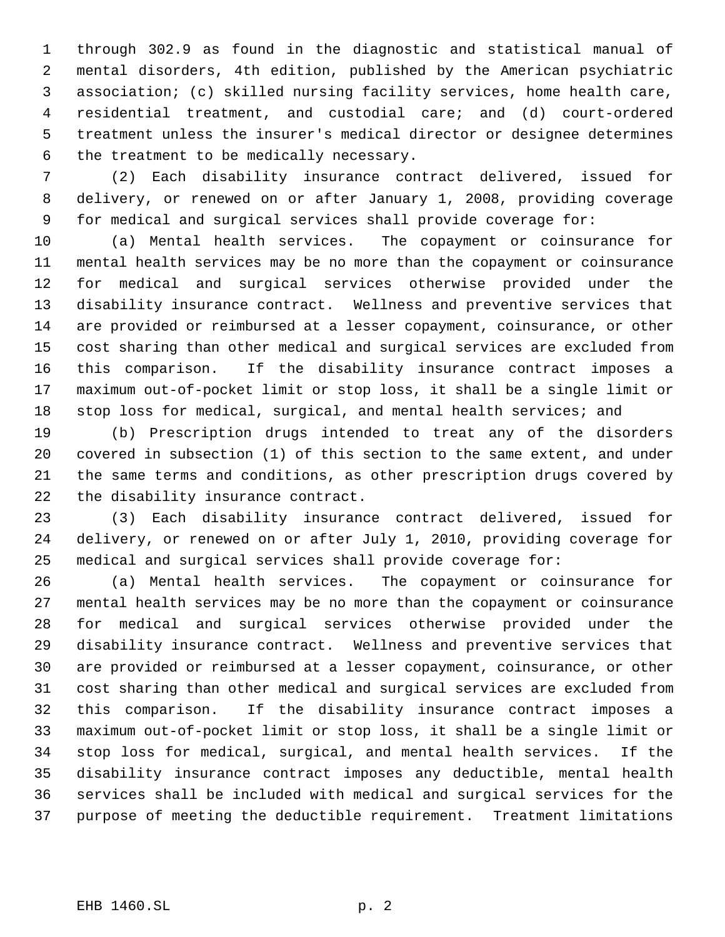through 302.9 as found in the diagnostic and statistical manual of mental disorders, 4th edition, published by the American psychiatric association; (c) skilled nursing facility services, home health care, residential treatment, and custodial care; and (d) court-ordered treatment unless the insurer's medical director or designee determines the treatment to be medically necessary.

 (2) Each disability insurance contract delivered, issued for delivery, or renewed on or after January 1, 2008, providing coverage for medical and surgical services shall provide coverage for:

 (a) Mental health services. The copayment or coinsurance for mental health services may be no more than the copayment or coinsurance for medical and surgical services otherwise provided under the disability insurance contract. Wellness and preventive services that are provided or reimbursed at a lesser copayment, coinsurance, or other cost sharing than other medical and surgical services are excluded from this comparison. If the disability insurance contract imposes a maximum out-of-pocket limit or stop loss, it shall be a single limit or 18 stop loss for medical, surgical, and mental health services; and

 (b) Prescription drugs intended to treat any of the disorders covered in subsection (1) of this section to the same extent, and under the same terms and conditions, as other prescription drugs covered by the disability insurance contract.

 (3) Each disability insurance contract delivered, issued for delivery, or renewed on or after July 1, 2010, providing coverage for medical and surgical services shall provide coverage for:

 (a) Mental health services. The copayment or coinsurance for mental health services may be no more than the copayment or coinsurance for medical and surgical services otherwise provided under the disability insurance contract. Wellness and preventive services that are provided or reimbursed at a lesser copayment, coinsurance, or other cost sharing than other medical and surgical services are excluded from this comparison. If the disability insurance contract imposes a maximum out-of-pocket limit or stop loss, it shall be a single limit or stop loss for medical, surgical, and mental health services. If the disability insurance contract imposes any deductible, mental health services shall be included with medical and surgical services for the purpose of meeting the deductible requirement. Treatment limitations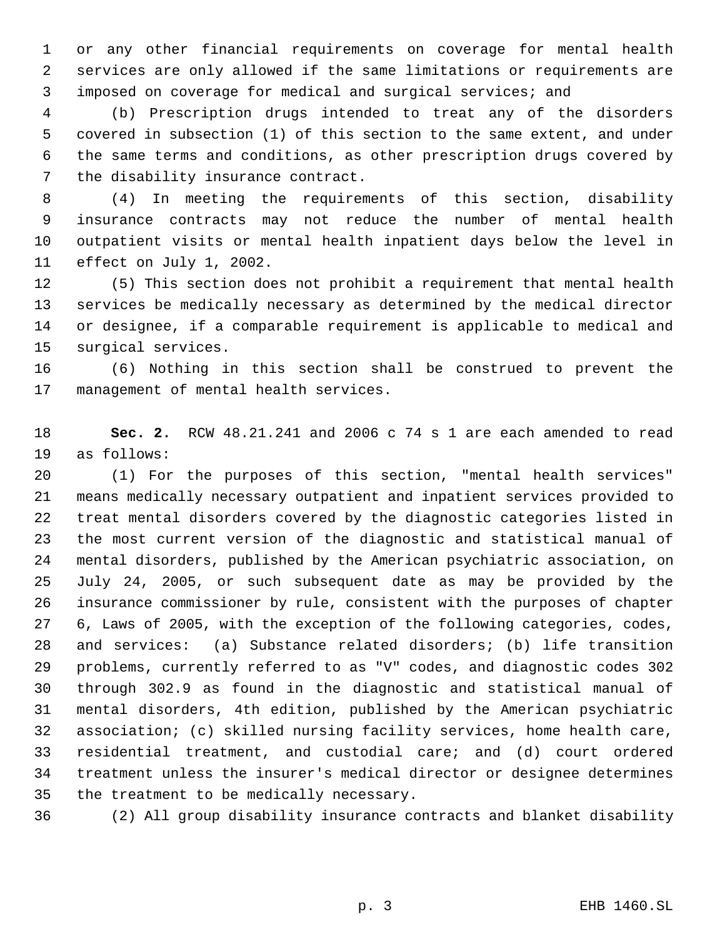or any other financial requirements on coverage for mental health services are only allowed if the same limitations or requirements are imposed on coverage for medical and surgical services; and

 (b) Prescription drugs intended to treat any of the disorders covered in subsection (1) of this section to the same extent, and under the same terms and conditions, as other prescription drugs covered by the disability insurance contract.

 (4) In meeting the requirements of this section, disability insurance contracts may not reduce the number of mental health outpatient visits or mental health inpatient days below the level in effect on July 1, 2002.

 (5) This section does not prohibit a requirement that mental health services be medically necessary as determined by the medical director or designee, if a comparable requirement is applicable to medical and surgical services.

 (6) Nothing in this section shall be construed to prevent the management of mental health services.

 **Sec. 2.** RCW 48.21.241 and 2006 c 74 s 1 are each amended to read as follows:

 (1) For the purposes of this section, "mental health services" means medically necessary outpatient and inpatient services provided to treat mental disorders covered by the diagnostic categories listed in the most current version of the diagnostic and statistical manual of mental disorders, published by the American psychiatric association, on July 24, 2005, or such subsequent date as may be provided by the insurance commissioner by rule, consistent with the purposes of chapter 6, Laws of 2005, with the exception of the following categories, codes, and services: (a) Substance related disorders; (b) life transition problems, currently referred to as "V" codes, and diagnostic codes 302 through 302.9 as found in the diagnostic and statistical manual of mental disorders, 4th edition, published by the American psychiatric association; (c) skilled nursing facility services, home health care, residential treatment, and custodial care; and (d) court ordered treatment unless the insurer's medical director or designee determines the treatment to be medically necessary.

(2) All group disability insurance contracts and blanket disability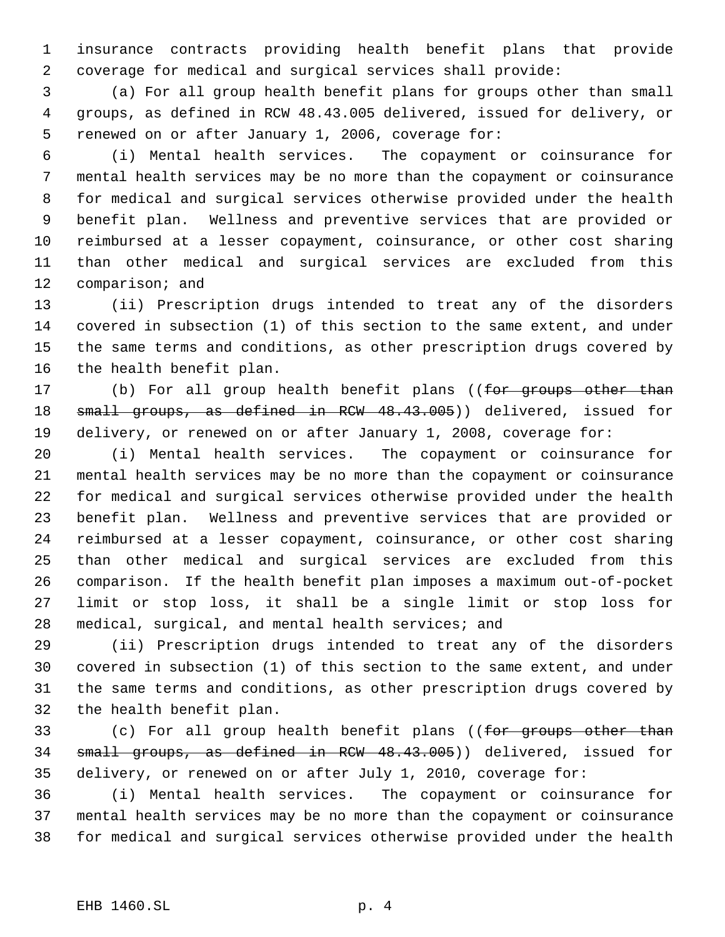insurance contracts providing health benefit plans that provide coverage for medical and surgical services shall provide:

 (a) For all group health benefit plans for groups other than small groups, as defined in RCW 48.43.005 delivered, issued for delivery, or renewed on or after January 1, 2006, coverage for:

 (i) Mental health services. The copayment or coinsurance for mental health services may be no more than the copayment or coinsurance for medical and surgical services otherwise provided under the health benefit plan. Wellness and preventive services that are provided or reimbursed at a lesser copayment, coinsurance, or other cost sharing than other medical and surgical services are excluded from this comparison; and

 (ii) Prescription drugs intended to treat any of the disorders covered in subsection (1) of this section to the same extent, and under the same terms and conditions, as other prescription drugs covered by the health benefit plan.

17 (b) For all group health benefit plans ((for groups other than small groups, as defined in RCW 48.43.005)) delivered, issued for delivery, or renewed on or after January 1, 2008, coverage for:

 (i) Mental health services. The copayment or coinsurance for mental health services may be no more than the copayment or coinsurance for medical and surgical services otherwise provided under the health benefit plan. Wellness and preventive services that are provided or reimbursed at a lesser copayment, coinsurance, or other cost sharing than other medical and surgical services are excluded from this comparison. If the health benefit plan imposes a maximum out-of-pocket limit or stop loss, it shall be a single limit or stop loss for medical, surgical, and mental health services; and

 (ii) Prescription drugs intended to treat any of the disorders covered in subsection (1) of this section to the same extent, and under the same terms and conditions, as other prescription drugs covered by the health benefit plan.

33 (c) For all group health benefit plans ((for groups other than small groups, as defined in RCW 48.43.005)) delivered, issued for delivery, or renewed on or after July 1, 2010, coverage for:

 (i) Mental health services. The copayment or coinsurance for mental health services may be no more than the copayment or coinsurance for medical and surgical services otherwise provided under the health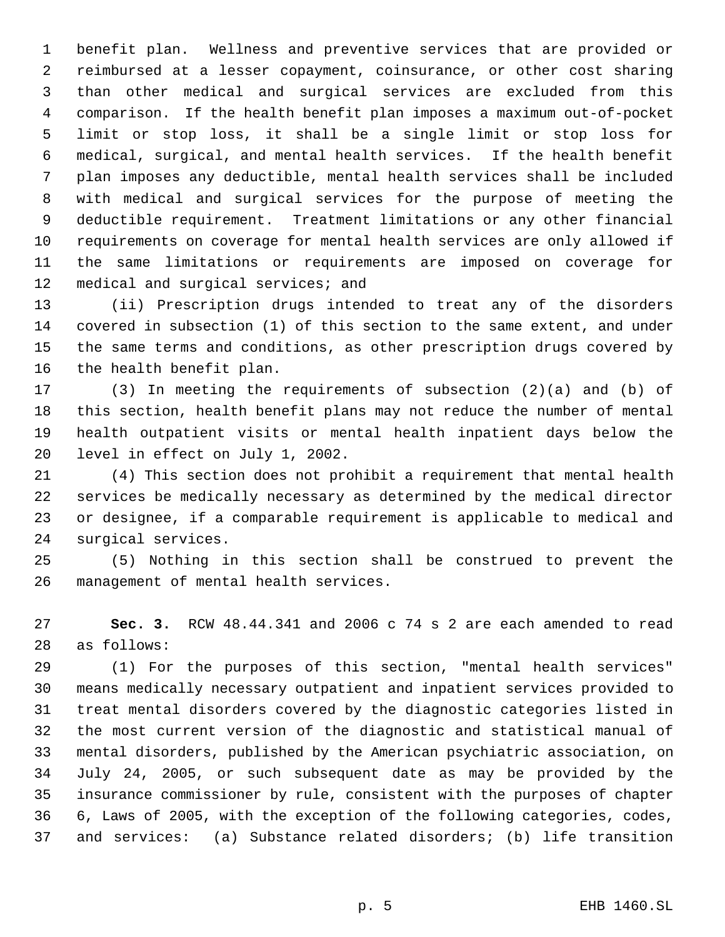benefit plan. Wellness and preventive services that are provided or reimbursed at a lesser copayment, coinsurance, or other cost sharing than other medical and surgical services are excluded from this comparison. If the health benefit plan imposes a maximum out-of-pocket limit or stop loss, it shall be a single limit or stop loss for medical, surgical, and mental health services. If the health benefit plan imposes any deductible, mental health services shall be included with medical and surgical services for the purpose of meeting the deductible requirement. Treatment limitations or any other financial requirements on coverage for mental health services are only allowed if the same limitations or requirements are imposed on coverage for 12 medical and surgical services; and

 (ii) Prescription drugs intended to treat any of the disorders covered in subsection (1) of this section to the same extent, and under the same terms and conditions, as other prescription drugs covered by the health benefit plan.

 (3) In meeting the requirements of subsection (2)(a) and (b) of this section, health benefit plans may not reduce the number of mental health outpatient visits or mental health inpatient days below the level in effect on July 1, 2002.

 (4) This section does not prohibit a requirement that mental health services be medically necessary as determined by the medical director or designee, if a comparable requirement is applicable to medical and surgical services.

 (5) Nothing in this section shall be construed to prevent the management of mental health services.

 **Sec. 3.** RCW 48.44.341 and 2006 c 74 s 2 are each amended to read as follows:

 (1) For the purposes of this section, "mental health services" means medically necessary outpatient and inpatient services provided to treat mental disorders covered by the diagnostic categories listed in the most current version of the diagnostic and statistical manual of mental disorders, published by the American psychiatric association, on July 24, 2005, or such subsequent date as may be provided by the insurance commissioner by rule, consistent with the purposes of chapter 6, Laws of 2005, with the exception of the following categories, codes, and services: (a) Substance related disorders; (b) life transition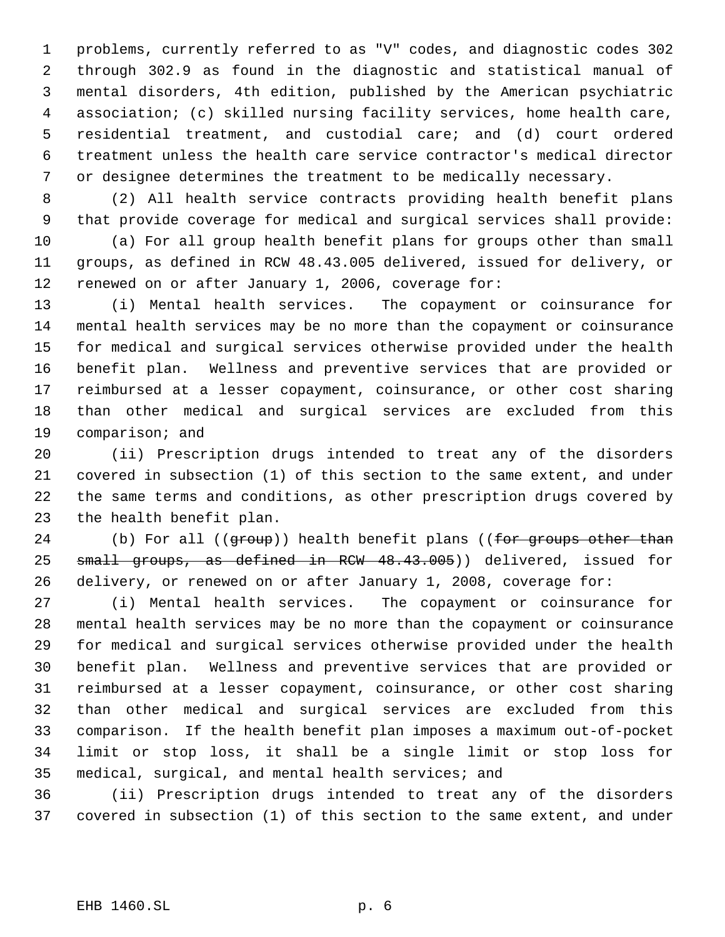problems, currently referred to as "V" codes, and diagnostic codes 302 through 302.9 as found in the diagnostic and statistical manual of mental disorders, 4th edition, published by the American psychiatric association; (c) skilled nursing facility services, home health care, residential treatment, and custodial care; and (d) court ordered treatment unless the health care service contractor's medical director or designee determines the treatment to be medically necessary.

 (2) All health service contracts providing health benefit plans that provide coverage for medical and surgical services shall provide:

 (a) For all group health benefit plans for groups other than small groups, as defined in RCW 48.43.005 delivered, issued for delivery, or renewed on or after January 1, 2006, coverage for:

 (i) Mental health services. The copayment or coinsurance for mental health services may be no more than the copayment or coinsurance for medical and surgical services otherwise provided under the health benefit plan. Wellness and preventive services that are provided or reimbursed at a lesser copayment, coinsurance, or other cost sharing than other medical and surgical services are excluded from this comparison; and

 (ii) Prescription drugs intended to treat any of the disorders covered in subsection (1) of this section to the same extent, and under the same terms and conditions, as other prescription drugs covered by the health benefit plan.

24 (b) For all ((group)) health benefit plans ((for groups other than small groups, as defined in RCW 48.43.005)) delivered, issued for delivery, or renewed on or after January 1, 2008, coverage for:

 (i) Mental health services. The copayment or coinsurance for mental health services may be no more than the copayment or coinsurance for medical and surgical services otherwise provided under the health benefit plan. Wellness and preventive services that are provided or reimbursed at a lesser copayment, coinsurance, or other cost sharing than other medical and surgical services are excluded from this comparison. If the health benefit plan imposes a maximum out-of-pocket limit or stop loss, it shall be a single limit or stop loss for medical, surgical, and mental health services; and

 (ii) Prescription drugs intended to treat any of the disorders covered in subsection (1) of this section to the same extent, and under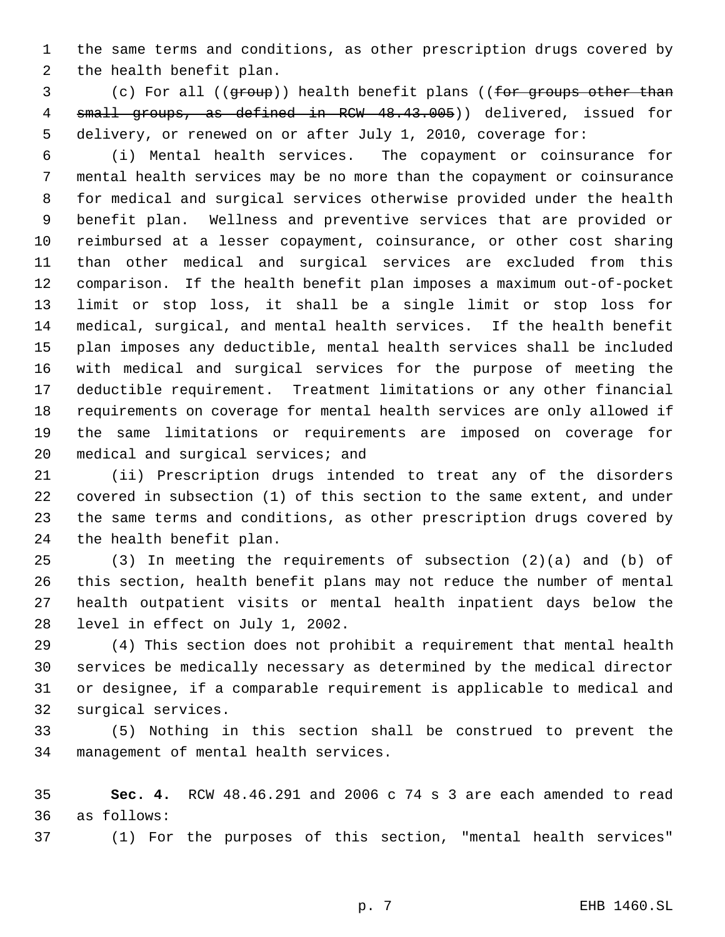the same terms and conditions, as other prescription drugs covered by the health benefit plan.

3 (c) For all ((group)) health benefit plans ((for groups other than small groups, as defined in RCW 48.43.005)) delivered, issued for delivery, or renewed on or after July 1, 2010, coverage for:

 (i) Mental health services. The copayment or coinsurance for mental health services may be no more than the copayment or coinsurance for medical and surgical services otherwise provided under the health benefit plan. Wellness and preventive services that are provided or reimbursed at a lesser copayment, coinsurance, or other cost sharing than other medical and surgical services are excluded from this comparison. If the health benefit plan imposes a maximum out-of-pocket limit or stop loss, it shall be a single limit or stop loss for medical, surgical, and mental health services. If the health benefit plan imposes any deductible, mental health services shall be included with medical and surgical services for the purpose of meeting the deductible requirement. Treatment limitations or any other financial requirements on coverage for mental health services are only allowed if the same limitations or requirements are imposed on coverage for 20 medical and surgical services; and

 (ii) Prescription drugs intended to treat any of the disorders covered in subsection (1) of this section to the same extent, and under the same terms and conditions, as other prescription drugs covered by the health benefit plan.

 (3) In meeting the requirements of subsection (2)(a) and (b) of this section, health benefit plans may not reduce the number of mental health outpatient visits or mental health inpatient days below the level in effect on July 1, 2002.

 (4) This section does not prohibit a requirement that mental health services be medically necessary as determined by the medical director or designee, if a comparable requirement is applicable to medical and surgical services.

 (5) Nothing in this section shall be construed to prevent the management of mental health services.

 **Sec. 4.** RCW 48.46.291 and 2006 c 74 s 3 are each amended to read as follows:

(1) For the purposes of this section, "mental health services"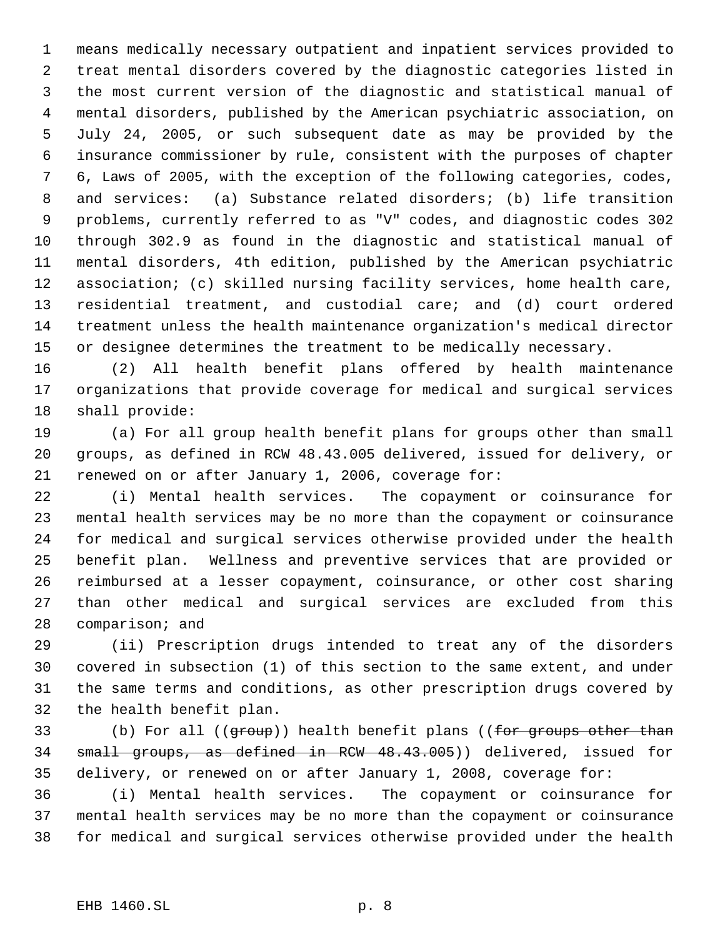means medically necessary outpatient and inpatient services provided to treat mental disorders covered by the diagnostic categories listed in the most current version of the diagnostic and statistical manual of mental disorders, published by the American psychiatric association, on July 24, 2005, or such subsequent date as may be provided by the insurance commissioner by rule, consistent with the purposes of chapter 6, Laws of 2005, with the exception of the following categories, codes, and services: (a) Substance related disorders; (b) life transition problems, currently referred to as "V" codes, and diagnostic codes 302 through 302.9 as found in the diagnostic and statistical manual of mental disorders, 4th edition, published by the American psychiatric association; (c) skilled nursing facility services, home health care, residential treatment, and custodial care; and (d) court ordered treatment unless the health maintenance organization's medical director or designee determines the treatment to be medically necessary.

 (2) All health benefit plans offered by health maintenance organizations that provide coverage for medical and surgical services shall provide:

 (a) For all group health benefit plans for groups other than small groups, as defined in RCW 48.43.005 delivered, issued for delivery, or renewed on or after January 1, 2006, coverage for:

 (i) Mental health services. The copayment or coinsurance for mental health services may be no more than the copayment or coinsurance for medical and surgical services otherwise provided under the health benefit plan. Wellness and preventive services that are provided or reimbursed at a lesser copayment, coinsurance, or other cost sharing than other medical and surgical services are excluded from this comparison; and

 (ii) Prescription drugs intended to treat any of the disorders covered in subsection (1) of this section to the same extent, and under the same terms and conditions, as other prescription drugs covered by the health benefit plan.

33 (b) For all ((group)) health benefit plans ((for groups other than small groups, as defined in RCW 48.43.005)) delivered, issued for delivery, or renewed on or after January 1, 2008, coverage for:

 (i) Mental health services. The copayment or coinsurance for mental health services may be no more than the copayment or coinsurance for medical and surgical services otherwise provided under the health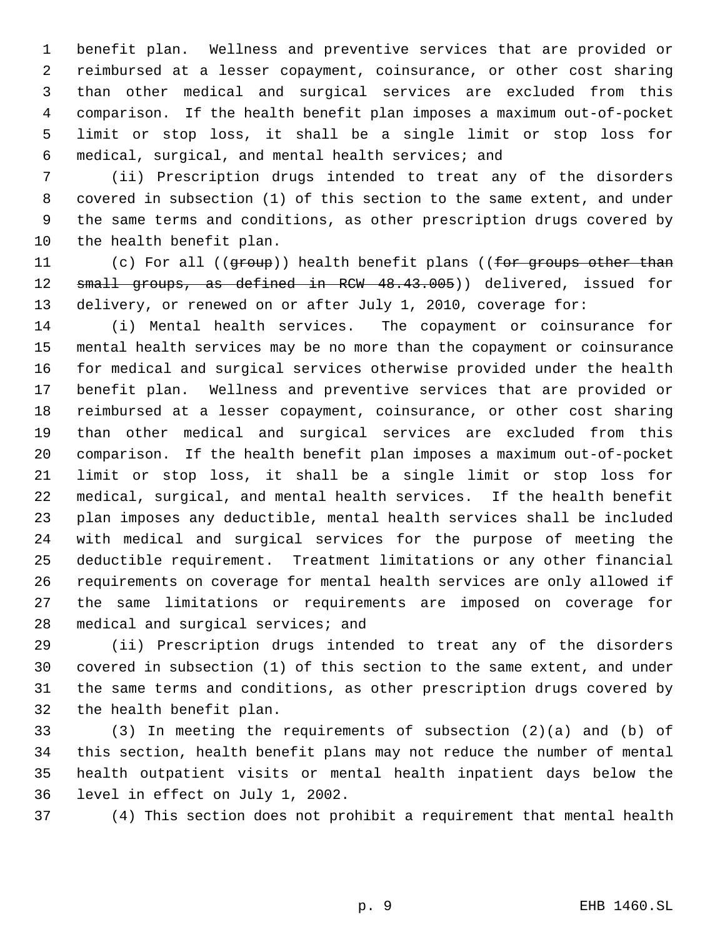benefit plan. Wellness and preventive services that are provided or reimbursed at a lesser copayment, coinsurance, or other cost sharing than other medical and surgical services are excluded from this comparison. If the health benefit plan imposes a maximum out-of-pocket limit or stop loss, it shall be a single limit or stop loss for medical, surgical, and mental health services; and

 (ii) Prescription drugs intended to treat any of the disorders covered in subsection (1) of this section to the same extent, and under the same terms and conditions, as other prescription drugs covered by the health benefit plan.

11 (c) For all ((group)) health benefit plans ((for groups other than 12 small groups, as defined in RCW 48.43.005)) delivered, issued for delivery, or renewed on or after July 1, 2010, coverage for:

 (i) Mental health services. The copayment or coinsurance for mental health services may be no more than the copayment or coinsurance for medical and surgical services otherwise provided under the health benefit plan. Wellness and preventive services that are provided or reimbursed at a lesser copayment, coinsurance, or other cost sharing than other medical and surgical services are excluded from this comparison. If the health benefit plan imposes a maximum out-of-pocket limit or stop loss, it shall be a single limit or stop loss for medical, surgical, and mental health services. If the health benefit plan imposes any deductible, mental health services shall be included with medical and surgical services for the purpose of meeting the deductible requirement. Treatment limitations or any other financial requirements on coverage for mental health services are only allowed if the same limitations or requirements are imposed on coverage for medical and surgical services; and

 (ii) Prescription drugs intended to treat any of the disorders covered in subsection (1) of this section to the same extent, and under the same terms and conditions, as other prescription drugs covered by the health benefit plan.

 (3) In meeting the requirements of subsection (2)(a) and (b) of this section, health benefit plans may not reduce the number of mental health outpatient visits or mental health inpatient days below the level in effect on July 1, 2002.

(4) This section does not prohibit a requirement that mental health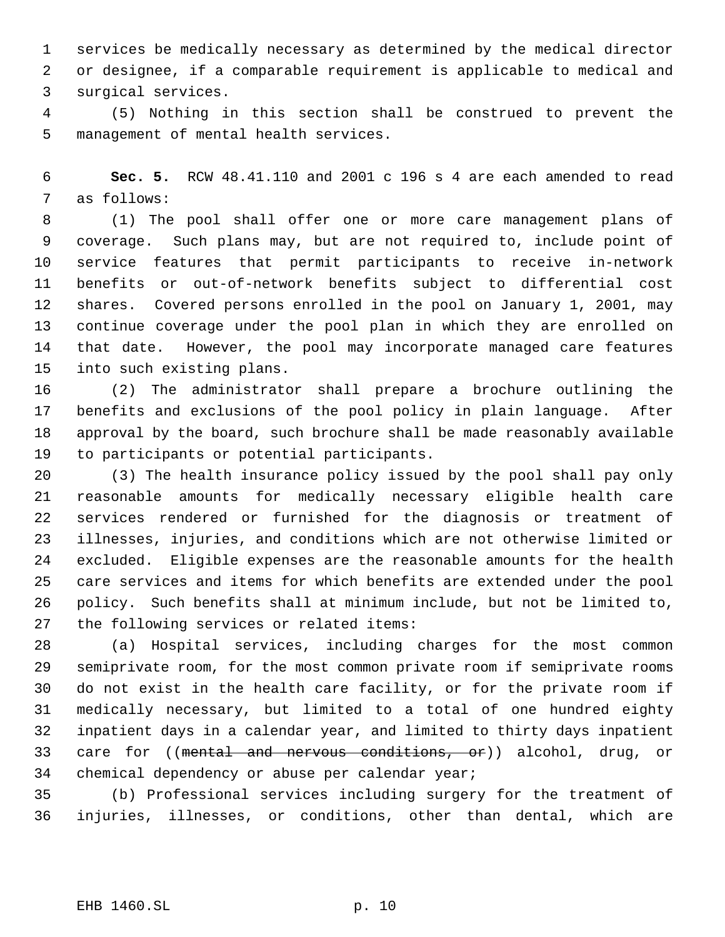services be medically necessary as determined by the medical director or designee, if a comparable requirement is applicable to medical and surgical services.

 (5) Nothing in this section shall be construed to prevent the management of mental health services.

 **Sec. 5.** RCW 48.41.110 and 2001 c 196 s 4 are each amended to read as follows:

 (1) The pool shall offer one or more care management plans of coverage. Such plans may, but are not required to, include point of service features that permit participants to receive in-network benefits or out-of-network benefits subject to differential cost shares. Covered persons enrolled in the pool on January 1, 2001, may continue coverage under the pool plan in which they are enrolled on that date. However, the pool may incorporate managed care features into such existing plans.

 (2) The administrator shall prepare a brochure outlining the benefits and exclusions of the pool policy in plain language. After approval by the board, such brochure shall be made reasonably available to participants or potential participants.

 (3) The health insurance policy issued by the pool shall pay only reasonable amounts for medically necessary eligible health care services rendered or furnished for the diagnosis or treatment of illnesses, injuries, and conditions which are not otherwise limited or excluded. Eligible expenses are the reasonable amounts for the health care services and items for which benefits are extended under the pool policy. Such benefits shall at minimum include, but not be limited to, the following services or related items:

 (a) Hospital services, including charges for the most common semiprivate room, for the most common private room if semiprivate rooms do not exist in the health care facility, or for the private room if medically necessary, but limited to a total of one hundred eighty inpatient days in a calendar year, and limited to thirty days inpatient 33 care for ((mental and nervous conditions, or)) alcohol, drug, or chemical dependency or abuse per calendar year;

 (b) Professional services including surgery for the treatment of injuries, illnesses, or conditions, other than dental, which are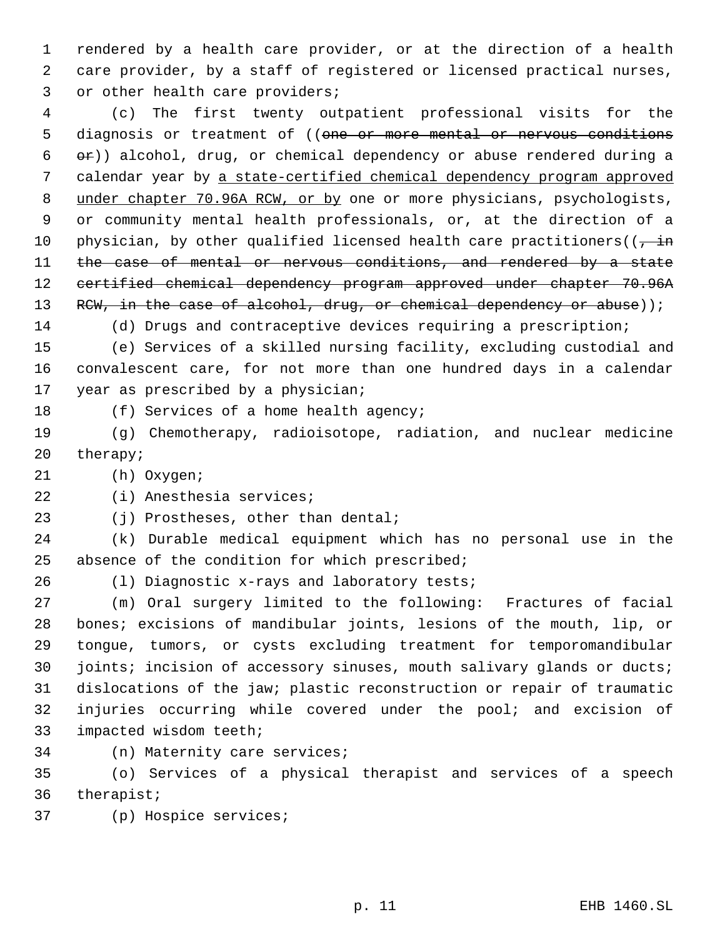rendered by a health care provider, or at the direction of a health care provider, by a staff of registered or licensed practical nurses, 3 or other health care providers;

 (c) The first twenty outpatient professional visits for the 5 diagnosis or treatment of ((one or more mental or nervous conditions  $\rightarrow$  )) alcohol, drug, or chemical dependency or abuse rendered during a calendar year by a state-certified chemical dependency program approved under chapter 70.96A RCW, or by one or more physicians, psychologists, or community mental health professionals, or, at the direction of a 10 physician, by other qualified licensed health care practitioners( $\left(\frac{1}{l} + \frac{1}{l}\right)$ 11 the case of mental or nervous conditions, and rendered by a state certified chemical dependency program approved under chapter 70.96A 13 RCW, in the case of alcohol, drug, or chemical dependency or abuse));

(d) Drugs and contraceptive devices requiring a prescription;

 (e) Services of a skilled nursing facility, excluding custodial and convalescent care, for not more than one hundred days in a calendar year as prescribed by a physician;

18 (f) Services of a home health agency;

 (g) Chemotherapy, radioisotope, radiation, and nuclear medicine therapy;

(h) Oxygen;

(i) Anesthesia services;

23 (j) Prostheses, other than dental;

 (k) Durable medical equipment which has no personal use in the 25 absence of the condition for which prescribed;

(l) Diagnostic x-rays and laboratory tests;

 (m) Oral surgery limited to the following: Fractures of facial bones; excisions of mandibular joints, lesions of the mouth, lip, or tongue, tumors, or cysts excluding treatment for temporomandibular 30 joints; incision of accessory sinuses, mouth salivary glands or ducts; dislocations of the jaw; plastic reconstruction or repair of traumatic injuries occurring while covered under the pool; and excision of impacted wisdom teeth;

(n) Maternity care services;

 (o) Services of a physical therapist and services of a speech therapist;

(p) Hospice services;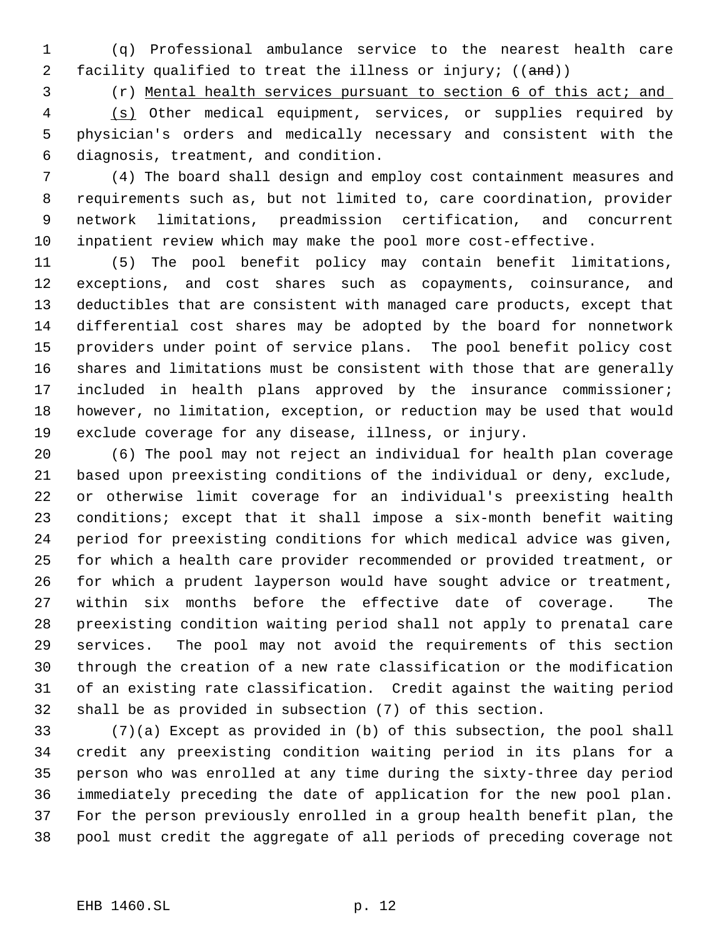(q) Professional ambulance service to the nearest health care 2 facility qualified to treat the illness or injury; ((and))

(r) Mental health services pursuant to section 6 of this act; and

 (s) Other medical equipment, services, or supplies required by physician's orders and medically necessary and consistent with the diagnosis, treatment, and condition.

 (4) The board shall design and employ cost containment measures and requirements such as, but not limited to, care coordination, provider network limitations, preadmission certification, and concurrent inpatient review which may make the pool more cost-effective.

 (5) The pool benefit policy may contain benefit limitations, exceptions, and cost shares such as copayments, coinsurance, and deductibles that are consistent with managed care products, except that differential cost shares may be adopted by the board for nonnetwork providers under point of service plans. The pool benefit policy cost shares and limitations must be consistent with those that are generally included in health plans approved by the insurance commissioner; however, no limitation, exception, or reduction may be used that would exclude coverage for any disease, illness, or injury.

 (6) The pool may not reject an individual for health plan coverage based upon preexisting conditions of the individual or deny, exclude, or otherwise limit coverage for an individual's preexisting health conditions; except that it shall impose a six-month benefit waiting period for preexisting conditions for which medical advice was given, for which a health care provider recommended or provided treatment, or for which a prudent layperson would have sought advice or treatment, within six months before the effective date of coverage. The preexisting condition waiting period shall not apply to prenatal care services. The pool may not avoid the requirements of this section through the creation of a new rate classification or the modification of an existing rate classification. Credit against the waiting period shall be as provided in subsection (7) of this section.

 (7)(a) Except as provided in (b) of this subsection, the pool shall credit any preexisting condition waiting period in its plans for a person who was enrolled at any time during the sixty-three day period immediately preceding the date of application for the new pool plan. For the person previously enrolled in a group health benefit plan, the pool must credit the aggregate of all periods of preceding coverage not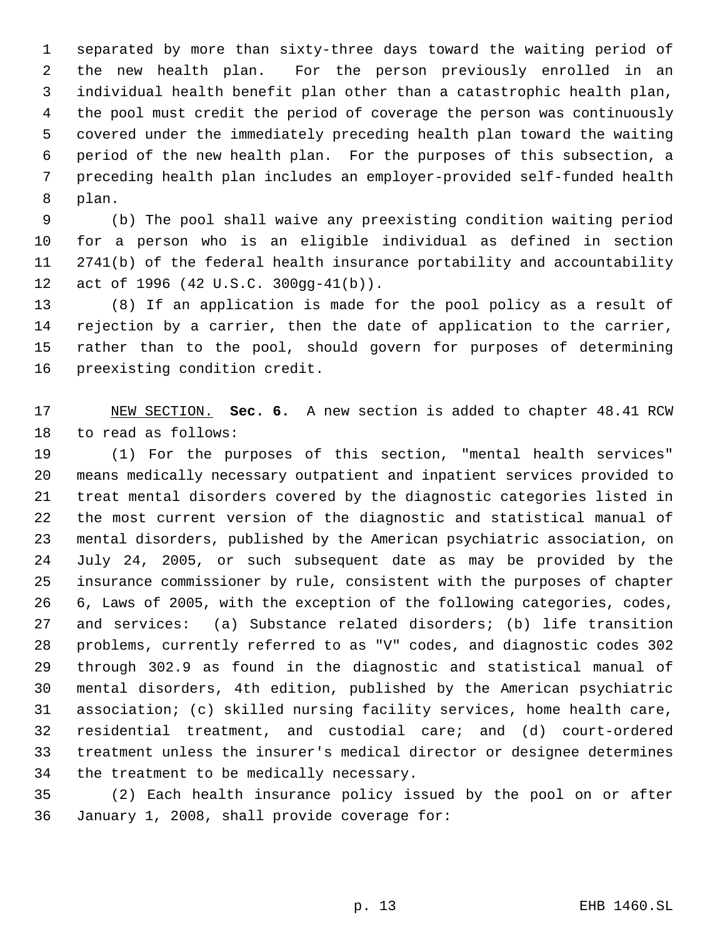separated by more than sixty-three days toward the waiting period of the new health plan. For the person previously enrolled in an individual health benefit plan other than a catastrophic health plan, the pool must credit the period of coverage the person was continuously covered under the immediately preceding health plan toward the waiting period of the new health plan. For the purposes of this subsection, a preceding health plan includes an employer-provided self-funded health plan.

 (b) The pool shall waive any preexisting condition waiting period for a person who is an eligible individual as defined in section 2741(b) of the federal health insurance portability and accountability act of 1996 (42 U.S.C. 300gg-41(b)).

 (8) If an application is made for the pool policy as a result of rejection by a carrier, then the date of application to the carrier, rather than to the pool, should govern for purposes of determining preexisting condition credit.

 NEW SECTION. **Sec. 6.** A new section is added to chapter 48.41 RCW to read as follows:

 (1) For the purposes of this section, "mental health services" means medically necessary outpatient and inpatient services provided to treat mental disorders covered by the diagnostic categories listed in the most current version of the diagnostic and statistical manual of mental disorders, published by the American psychiatric association, on July 24, 2005, or such subsequent date as may be provided by the insurance commissioner by rule, consistent with the purposes of chapter 6, Laws of 2005, with the exception of the following categories, codes, and services: (a) Substance related disorders; (b) life transition problems, currently referred to as "V" codes, and diagnostic codes 302 through 302.9 as found in the diagnostic and statistical manual of mental disorders, 4th edition, published by the American psychiatric association; (c) skilled nursing facility services, home health care, residential treatment, and custodial care; and (d) court-ordered treatment unless the insurer's medical director or designee determines the treatment to be medically necessary.

 (2) Each health insurance policy issued by the pool on or after January 1, 2008, shall provide coverage for: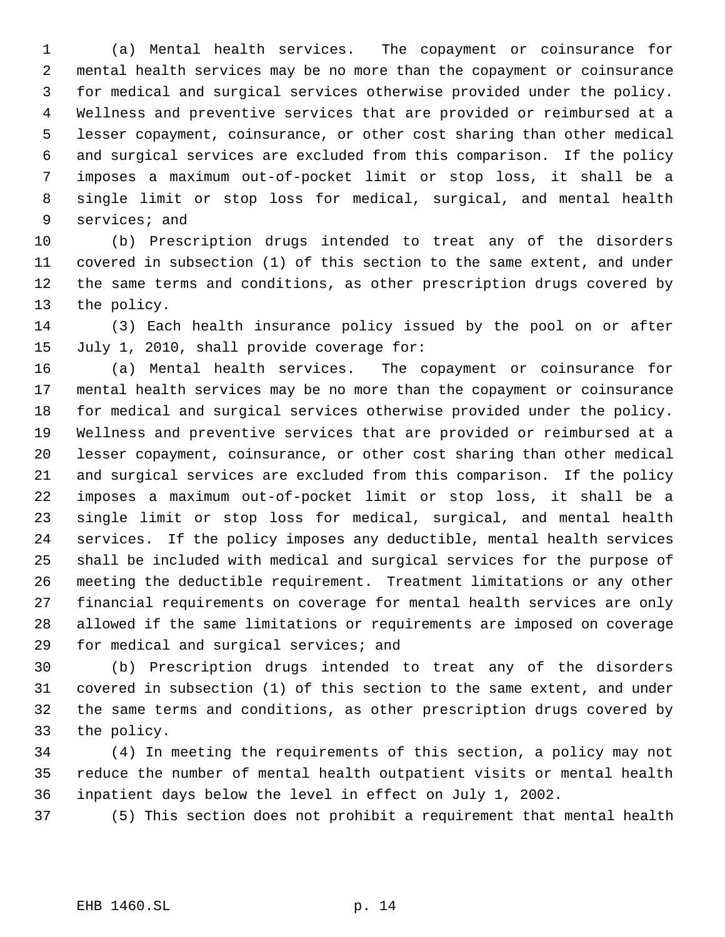(a) Mental health services. The copayment or coinsurance for mental health services may be no more than the copayment or coinsurance for medical and surgical services otherwise provided under the policy. Wellness and preventive services that are provided or reimbursed at a lesser copayment, coinsurance, or other cost sharing than other medical and surgical services are excluded from this comparison. If the policy imposes a maximum out-of-pocket limit or stop loss, it shall be a single limit or stop loss for medical, surgical, and mental health services; and

 (b) Prescription drugs intended to treat any of the disorders covered in subsection (1) of this section to the same extent, and under the same terms and conditions, as other prescription drugs covered by the policy.

 (3) Each health insurance policy issued by the pool on or after July 1, 2010, shall provide coverage for:

 (a) Mental health services. The copayment or coinsurance for mental health services may be no more than the copayment or coinsurance for medical and surgical services otherwise provided under the policy. Wellness and preventive services that are provided or reimbursed at a lesser copayment, coinsurance, or other cost sharing than other medical and surgical services are excluded from this comparison. If the policy imposes a maximum out-of-pocket limit or stop loss, it shall be a single limit or stop loss for medical, surgical, and mental health services. If the policy imposes any deductible, mental health services shall be included with medical and surgical services for the purpose of meeting the deductible requirement. Treatment limitations or any other financial requirements on coverage for mental health services are only allowed if the same limitations or requirements are imposed on coverage for medical and surgical services; and

 (b) Prescription drugs intended to treat any of the disorders covered in subsection (1) of this section to the same extent, and under the same terms and conditions, as other prescription drugs covered by the policy.

 (4) In meeting the requirements of this section, a policy may not reduce the number of mental health outpatient visits or mental health inpatient days below the level in effect on July 1, 2002.

(5) This section does not prohibit a requirement that mental health